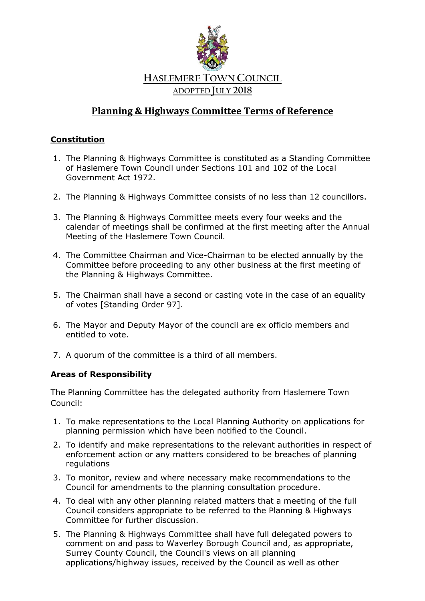

# **Planning & Highways Committee Terms of Reference**

## **Constitution**

- 1. The Planning & Highways Committee is constituted as a Standing Committee of Haslemere Town Council under Sections 101 and 102 of the Local Government Act 1972.
- 2. The Planning & Highways Committee consists of no less than 12 councillors.
- 3. The Planning & Highways Committee meets every four weeks and the calendar of meetings shall be confirmed at the first meeting after the Annual Meeting of the Haslemere Town Council.
- 4. The Committee Chairman and Vice-Chairman to be elected annually by the Committee before proceeding to any other business at the first meeting of the Planning & Highways Committee.
- 5. The Chairman shall have a second or casting vote in the case of an equality of votes [Standing Order 97].
- 6. The Mayor and Deputy Mayor of the council are ex officio members and entitled to vote.
- 7. A quorum of the committee is a third of all members.

### **Areas of Responsibility**

The Planning Committee has the delegated authority from Haslemere Town Council:

- 1. To make representations to the Local Planning Authority on applications for planning permission which have been notified to the Council.
- 2. To identify and make representations to the relevant authorities in respect of enforcement action or any matters considered to be breaches of planning regulations
- 3. To monitor, review and where necessary make recommendations to the Council for amendments to the planning consultation procedure.
- 4. To deal with any other planning related matters that a meeting of the full Council considers appropriate to be referred to the Planning & Highways Committee for further discussion.
- 5. The Planning & Highways Committee shall have full delegated powers to comment on and pass to Waverley Borough Council and, as appropriate, Surrey County Council, the Council's views on all planning applications/highway issues, received by the Council as well as other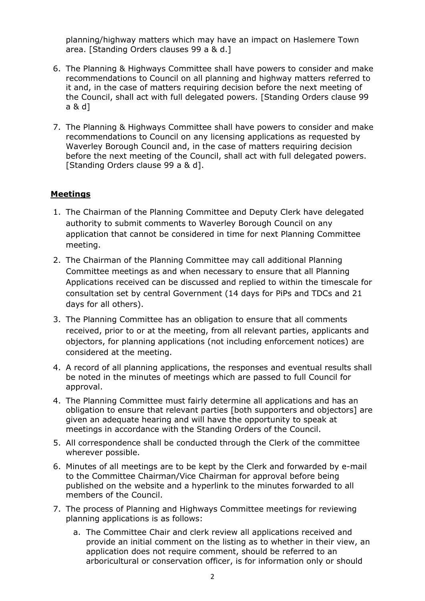planning/highway matters which may have an impact on Haslemere Town area. [Standing Orders clauses 99 a & d.]

- 6. The Planning & Highways Committee shall have powers to consider and make recommendations to Council on all planning and highway matters referred to it and, in the case of matters requiring decision before the next meeting of the Council, shall act with full delegated powers. [Standing Orders clause 99 a & d]
- 7. The Planning & Highways Committee shall have powers to consider and make recommendations to Council on any licensing applications as requested by Waverley Borough Council and, in the case of matters requiring decision before the next meeting of the Council, shall act with full delegated powers. [Standing Orders clause 99 a & d].

### **Meetings**

- 1. The Chairman of the Planning Committee and Deputy Clerk have delegated authority to submit comments to Waverley Borough Council on any application that cannot be considered in time for next Planning Committee meeting.
- 2. The Chairman of the Planning Committee may call additional Planning Committee meetings as and when necessary to ensure that all Planning Applications received can be discussed and replied to within the timescale for consultation set by central Government (14 days for PiPs and TDCs and 21 days for all others).
- 3. The Planning Committee has an obligation to ensure that all comments received, prior to or at the meeting, from all relevant parties, applicants and objectors, for planning applications (not including enforcement notices) are considered at the meeting.
- 4. A record of all planning applications, the responses and eventual results shall be noted in the minutes of meetings which are passed to full Council for approval.
- 4. The Planning Committee must fairly determine all applications and has an obligation to ensure that relevant parties [both supporters and objectors] are given an adequate hearing and will have the opportunity to speak at meetings in accordance with the Standing Orders of the Council.
- 5. All correspondence shall be conducted through the Clerk of the committee wherever possible.
- 6. Minutes of all meetings are to be kept by the Clerk and forwarded by e-mail to the Committee Chairman/Vice Chairman for approval before being published on the website and a hyperlink to the minutes forwarded to all members of the Council.
- 7. The process of Planning and Highways Committee meetings for reviewing planning applications is as follows:
	- a. The Committee Chair and clerk review all applications received and provide an initial comment on the listing as to whether in their view, an application does not require comment, should be referred to an arboricultural or conservation officer, is for information only or should